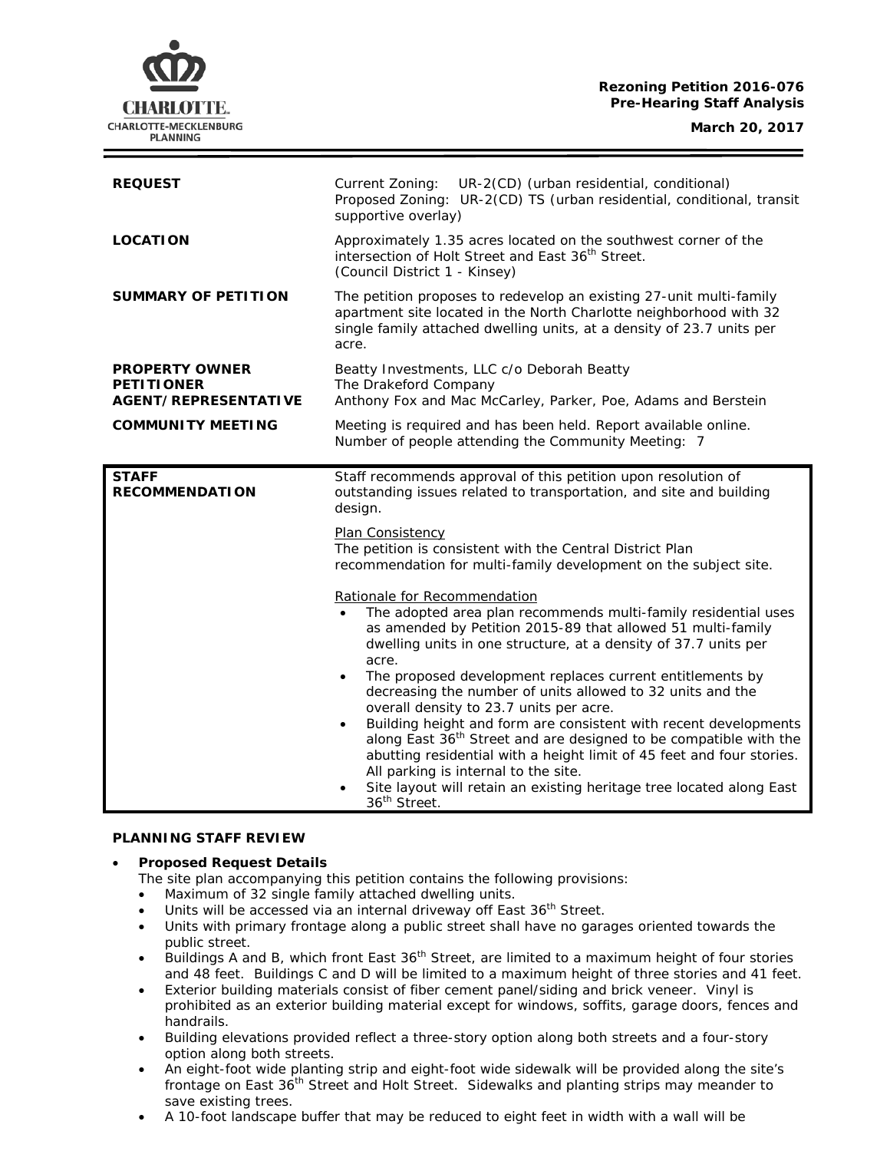# **Rezoning Petition 2016-076 Pre-Hearing Staff Analysis**

CHARLOTTE. CHARLOTTE-MECKLENBURG **PLANNING** 

| <b>REQUEST</b>                                                            | Current Zoning:<br>UR-2(CD) (urban residential, conditional)<br>Proposed Zoning: UR-2(CD) TS (urban residential, conditional, transit<br>supportive overlay)                                                                                                                                                                                                                                                                                                                                 |
|---------------------------------------------------------------------------|----------------------------------------------------------------------------------------------------------------------------------------------------------------------------------------------------------------------------------------------------------------------------------------------------------------------------------------------------------------------------------------------------------------------------------------------------------------------------------------------|
| <b>LOCATION</b>                                                           | Approximately 1.35 acres located on the southwest corner of the<br>intersection of Holt Street and East 36 <sup>th</sup> Street.<br>(Council District 1 - Kinsey)                                                                                                                                                                                                                                                                                                                            |
| <b>SUMMARY OF PETITION</b>                                                | The petition proposes to redevelop an existing 27-unit multi-family<br>apartment site located in the North Charlotte neighborhood with 32<br>single family attached dwelling units, at a density of 23.7 units per<br>acre.                                                                                                                                                                                                                                                                  |
| <b>PROPERTY OWNER</b><br><b>PETITIONER</b><br><b>AGENT/REPRESENTATIVE</b> | Beatty Investments, LLC c/o Deborah Beatty<br>The Drakeford Company<br>Anthony Fox and Mac McCarley, Parker, Poe, Adams and Berstein                                                                                                                                                                                                                                                                                                                                                         |
| <b>COMMUNITY MEETING</b>                                                  | Meeting is required and has been held. Report available online.<br>Number of people attending the Community Meeting: 7                                                                                                                                                                                                                                                                                                                                                                       |
| <b>STAFF</b><br><b>RECOMMENDATION</b>                                     | Staff recommends approval of this petition upon resolution of<br>outstanding issues related to transportation, and site and building<br>design.                                                                                                                                                                                                                                                                                                                                              |
|                                                                           | Plan Consistency<br>The petition is consistent with the Central District Plan<br>recommendation for multi-family development on the subject site.                                                                                                                                                                                                                                                                                                                                            |
|                                                                           | Rationale for Recommendation<br>The adopted area plan recommends multi-family residential uses<br>as amended by Petition 2015-89 that allowed 51 multi-family<br>dwelling units in one structure, at a density of 37.7 units per<br>acre.<br>The proposed development replaces current entitlements by<br>$\bullet$                                                                                                                                                                          |
|                                                                           | decreasing the number of units allowed to 32 units and the<br>overall density to 23.7 units per acre.<br>Building height and form are consistent with recent developments<br>$\bullet$<br>along East 36 <sup>th</sup> Street and are designed to be compatible with the<br>abutting residential with a height limit of 45 feet and four stories.<br>All parking is internal to the site.<br>Site layout will retain an existing heritage tree located along East<br>36 <sup>th</sup> Street. |

## **PLANNING STAFF REVIEW**

## • **Proposed Request Details**

- The site plan accompanying this petition contains the following provisions:
- Maximum of 32 single family attached dwelling units.
- Units will be accessed via an internal driveway off East 36<sup>th</sup> Street.
- Units with primary frontage along a public street shall have no garages oriented towards the public street.
- buildings A and B, which front East 36<sup>th</sup> Street, are limited to a maximum height of four stories and 48 feet. Buildings C and D will be limited to a maximum height of three stories and 41 feet.
- Exterior building materials consist of fiber cement panel/siding and brick veneer. Vinyl is prohibited as an exterior building material except for windows, soffits, garage doors, fences and handrails.
- Building elevations provided reflect a three-story option along both streets and a four-story option along both streets.
- An eight-foot wide planting strip and eight-foot wide sidewalk will be provided along the site's frontage on East 36<sup>th</sup> Street and Holt Street. Sidewalks and planting strips may meander to save existing trees.
- A 10-foot landscape buffer that may be reduced to eight feet in width with a wall will be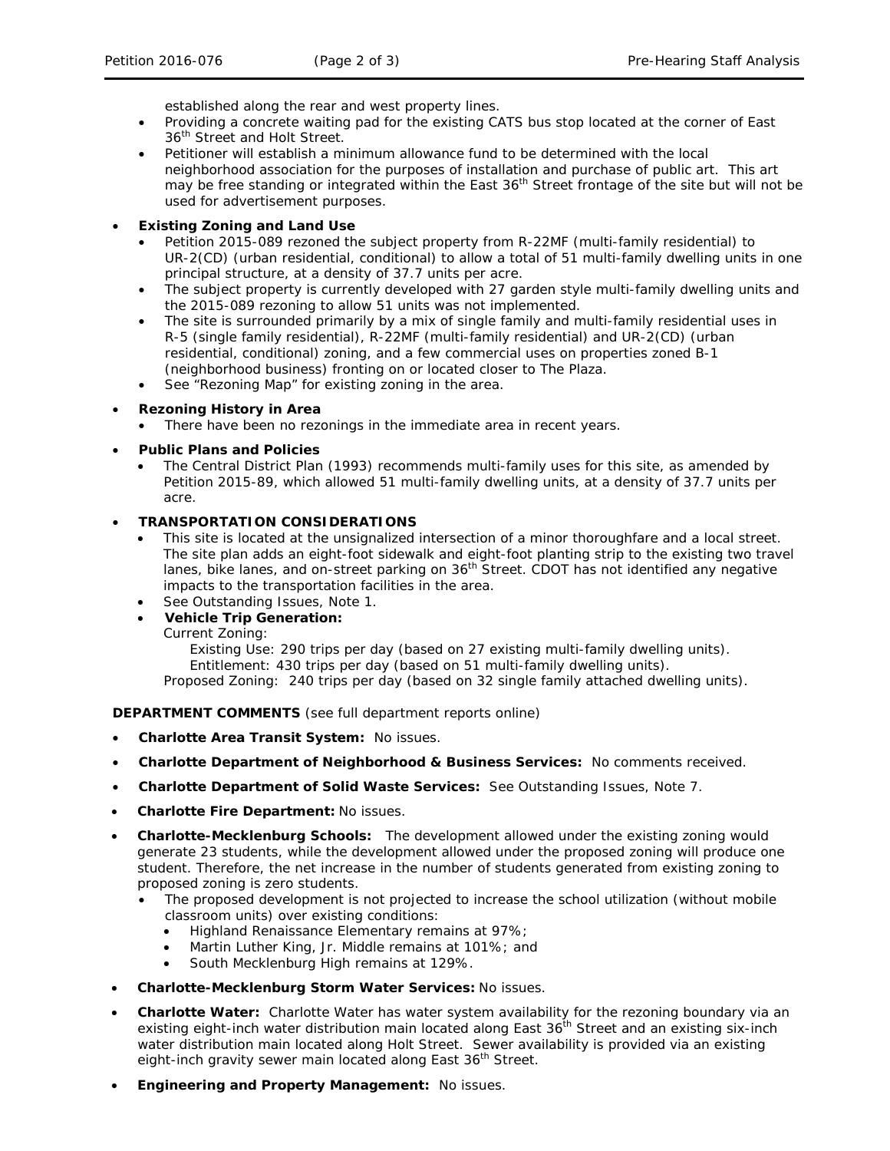established along the rear and west property lines.

- Providing a concrete waiting pad for the existing CATS bus stop located at the corner of East 36<sup>th</sup> Street and Holt Street.
- Petitioner will establish a minimum allowance fund to be determined with the local neighborhood association for the purposes of installation and purchase of public art. This art may be free standing or integrated within the East  $36<sup>th</sup>$  Street frontage of the site but will not be used for advertisement purposes.

# • **Existing Zoning and Land Use**

- Petition 2015-089 rezoned the subject property from R-22MF (multi-family residential) to UR-2(CD) (urban residential, conditional) to allow a total of 51 multi-family dwelling units in one principal structure, at a density of 37.7 units per acre.
- The subject property is currently developed with 27 garden style multi-family dwelling units and the 2015-089 rezoning to allow 51 units was not implemented.
- The site is surrounded primarily by a mix of single family and multi-family residential uses in R-5 (single family residential), R-22MF (multi-family residential) and UR-2(CD) (urban residential, conditional) zoning, and a few commercial uses on properties zoned B-1 (neighborhood business) fronting on or located closer to The Plaza.
- See "Rezoning Map" for existing zoning in the area.

# • **Rezoning History in Area**

There have been no rezonings in the immediate area in recent years.

## • **Public Plans and Policies**

• The *Central District Plan* (1993) recommends multi-family uses for this site, as amended by Petition 2015-89, which allowed 51 multi-family dwelling units, at a density of 37.7 units per acre.

## • **TRANSPORTATION CONSIDERATIONS**

- This site is located at the unsignalized intersection of a minor thoroughfare and a local street. The site plan adds an eight-foot sidewalk and eight-foot planting strip to the existing two travel lanes, bike lanes, and on-street parking on 36<sup>th</sup> Street. CDOT has not identified any negative impacts to the transportation facilities in the area.
- See Outstanding Issues, Note 1.
- **Vehicle Trip Generation:**

Current Zoning:

Existing Use: 290 trips per day (based on 27 existing multi-family dwelling units). Entitlement: 430 trips per day (based on 51 multi-family dwelling units).

Proposed Zoning: 240 trips per day (based on 32 single family attached dwelling units).

**DEPARTMENT COMMENTS** (see full department reports online)

- **Charlotte Area Transit System:** No issues.
- **Charlotte Department of Neighborhood & Business Services:** No comments received.
- **Charlotte Department of Solid Waste Services:** See Outstanding Issues, Note 7.
- **Charlotte Fire Department:** No issues.
- **Charlotte-Mecklenburg Schools:** The development allowed under the existing zoning would generate 23 students, while the development allowed under the proposed zoning will produce one student. Therefore, the net increase in the number of students generated from existing zoning to proposed zoning is zero students.
	- The proposed development is not projected to increase the school utilization (without mobile classroom units) over existing conditions:
		- Highland Renaissance Elementary remains at 97%;
		- Martin Luther King, Jr. Middle remains at 101%; and
		- South Mecklenburg High remains at 129%.
- **Charlotte-Mecklenburg Storm Water Services:** No issues.
- **Charlotte Water:** Charlotte Water has water system availability for the rezoning boundary via an existing eight-inch water distribution main located along East 36<sup>th</sup> Street and an existing six-inch water distribution main located along Holt Street. Sewer availability is provided via an existing eight-inch gravity sewer main located along East 36<sup>th</sup> Street.
- **Engineering and Property Management:** No issues.